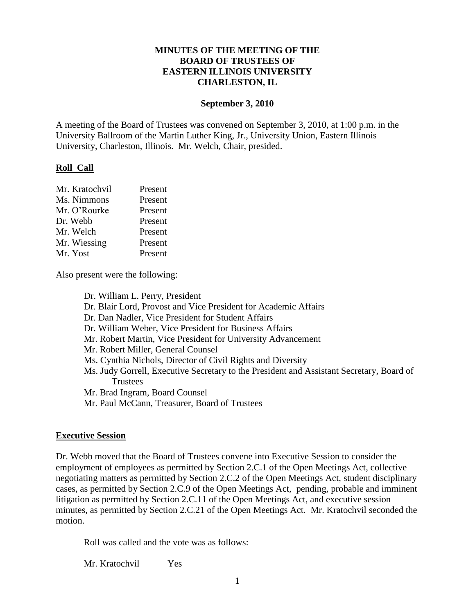### **MINUTES OF THE MEETING OF THE BOARD OF TRUSTEES OF EASTERN ILLINOIS UNIVERSITY CHARLESTON, IL**

#### **September 3, 2010**

A meeting of the Board of Trustees was convened on September 3, 2010, at 1:00 p.m. in the University Ballroom of the Martin Luther King, Jr., University Union, Eastern Illinois University, Charleston, Illinois. Mr. Welch, Chair, presided.

#### **Roll Call**

| Mr. Kratochvil | Present |
|----------------|---------|
| Ms. Nimmons    | Present |
| Mr. O'Rourke   | Present |
| Dr. Webb       | Present |
| Mr. Welch      | Present |
| Mr. Wiessing   | Present |
| Mr. Yost       | Present |

Also present were the following:

Dr. William L. Perry, President Dr. Blair Lord, Provost and Vice President for Academic Affairs Dr. Dan Nadler, Vice President for Student Affairs Dr. William Weber, Vice President for Business Affairs Mr. Robert Martin, Vice President for University Advancement Mr. Robert Miller, General Counsel Ms. Cynthia Nichols, Director of Civil Rights and Diversity Ms. Judy Gorrell, Executive Secretary to the President and Assistant Secretary, Board of **Trustees** Mr. Brad Ingram, Board Counsel Mr. Paul McCann, Treasurer, Board of Trustees

#### **Executive Session**

Dr. Webb moved that the Board of Trustees convene into Executive Session to consider the employment of employees as permitted by Section 2.C.1 of the Open Meetings Act, collective negotiating matters as permitted by Section 2.C.2 of the Open Meetings Act, student disciplinary cases, as permitted by Section 2.C.9 of the Open Meetings Act, pending, probable and imminent litigation as permitted by Section 2.C.11 of the Open Meetings Act, and executive session minutes, as permitted by Section 2.C.21 of the Open Meetings Act. Mr. Kratochvil seconded the motion.

Roll was called and the vote was as follows:

Mr. Kratochvil Yes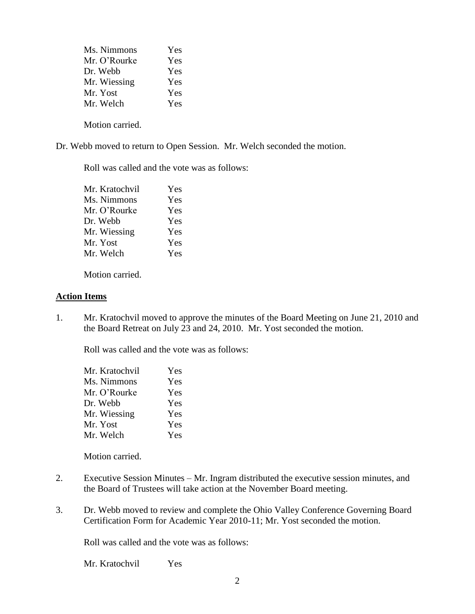| Ms. Nimmons  | Yes |
|--------------|-----|
| Mr. O'Rourke | Yes |
| Dr. Webb     | Yes |
| Mr. Wiessing | Yes |
| Mr. Yost     | Yes |
| Mr. Welch    | Yes |
|              |     |

Motion carried.

Dr. Webb moved to return to Open Session. Mr. Welch seconded the motion.

Roll was called and the vote was as follows:

| Mr. Kratochvil | Yes |
|----------------|-----|
| Ms. Nimmons    | Yes |
| Mr. O'Rourke   | Yes |
| Dr. Webb       | Yes |
| Mr. Wiessing   | Yes |
| Mr. Yost       | Yes |
| Mr. Welch      | Yes |
|                |     |

Motion carried.

#### **Action Items**

1. Mr. Kratochvil moved to approve the minutes of the Board Meeting on June 21, 2010 and the Board Retreat on July 23 and 24, 2010. Mr. Yost seconded the motion.

Roll was called and the vote was as follows:

| Yes               |
|-------------------|
| Yes               |
| Yes               |
| Yes               |
|                   |
|                   |
|                   |
| Yes<br>Yes<br>Yes |

Motion carried.

- 2. Executive Session Minutes Mr. Ingram distributed the executive session minutes, and the Board of Trustees will take action at the November Board meeting.
- 3. Dr. Webb moved to review and complete the Ohio Valley Conference Governing Board Certification Form for Academic Year 2010-11; Mr. Yost seconded the motion.

Roll was called and the vote was as follows:

Mr. Kratochvil Yes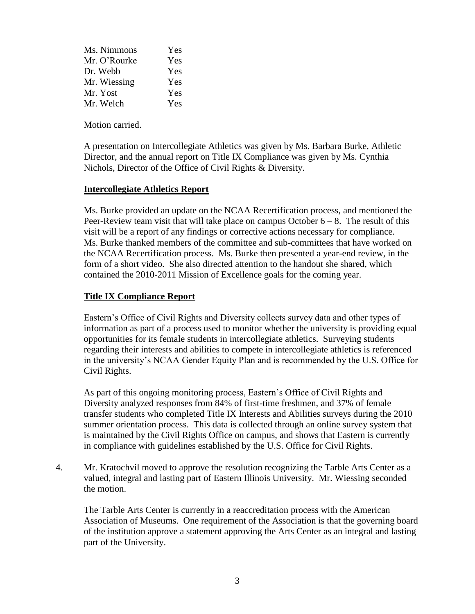| Ms. Nimmons  | Yes |
|--------------|-----|
| Mr. O'Rourke | Yes |
| Dr. Webb     | Yes |
| Mr. Wiessing | Yes |
| Mr. Yost     | Yes |
| Mr. Welch    | Yes |

Motion carried.

A presentation on Intercollegiate Athletics was given by Ms. Barbara Burke, Athletic Director, and the annual report on Title IX Compliance was given by Ms. Cynthia Nichols, Director of the Office of Civil Rights & Diversity.

# **Intercollegiate Athletics Report**

Ms. Burke provided an update on the NCAA Recertification process, and mentioned the Peer-Review team visit that will take place on campus October  $6 - 8$ . The result of this visit will be a report of any findings or corrective actions necessary for compliance. Ms. Burke thanked members of the committee and sub-committees that have worked on the NCAA Recertification process. Ms. Burke then presented a year-end review, in the form of a short video. She also directed attention to the handout she shared, which contained the 2010-2011 Mission of Excellence goals for the coming year.

# **Title IX Compliance Report**

Eastern's Office of Civil Rights and Diversity collects survey data and other types of information as part of a process used to monitor whether the university is providing equal opportunities for its female students in intercollegiate athletics. Surveying students regarding their interests and abilities to compete in intercollegiate athletics is referenced in the university's NCAA Gender Equity Plan and is recommended by the U.S. Office for Civil Rights.

As part of this ongoing monitoring process, Eastern's Office of Civil Rights and Diversity analyzed responses from 84% of first-time freshmen, and 37% of female transfer students who completed Title IX Interests and Abilities surveys during the 2010 summer orientation process. This data is collected through an online survey system that is maintained by the Civil Rights Office on campus, and shows that Eastern is currently in compliance with guidelines established by the U.S. Office for Civil Rights.

4. Mr. Kratochvil moved to approve the resolution recognizing the Tarble Arts Center as a valued, integral and lasting part of Eastern Illinois University. Mr. Wiessing seconded the motion.

 The Tarble Arts Center is currently in a reaccreditation process with the American Association of Museums. One requirement of the Association is that the governing board of the institution approve a statement approving the Arts Center as an integral and lasting part of the University.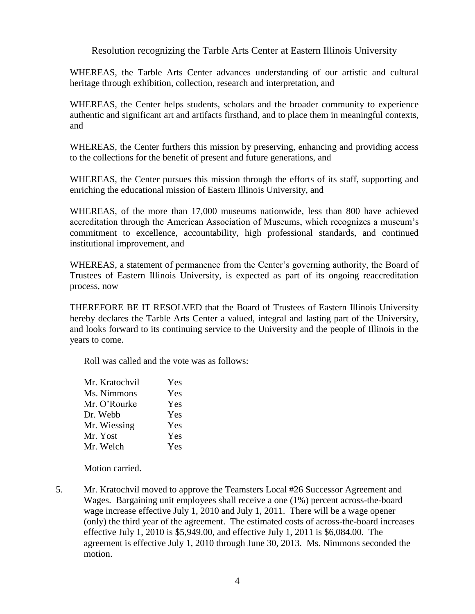# Resolution recognizing the Tarble Arts Center at Eastern Illinois University

WHEREAS, the Tarble Arts Center advances understanding of our artistic and cultural heritage through exhibition, collection, research and interpretation, and

WHEREAS, the Center helps students, scholars and the broader community to experience authentic and significant art and artifacts firsthand, and to place them in meaningful contexts, and

WHEREAS, the Center furthers this mission by preserving, enhancing and providing access to the collections for the benefit of present and future generations, and

WHEREAS, the Center pursues this mission through the efforts of its staff, supporting and enriching the educational mission of Eastern Illinois University, and

WHEREAS, of the more than 17,000 museums nationwide, less than 800 have achieved accreditation through the American Association of Museums, which recognizes a museum's commitment to excellence, accountability, high professional standards, and continued institutional improvement, and

WHEREAS, a statement of permanence from the Center's governing authority, the Board of Trustees of Eastern Illinois University, is expected as part of its ongoing reaccreditation process, now

THEREFORE BE IT RESOLVED that the Board of Trustees of Eastern Illinois University hereby declares the Tarble Arts Center a valued, integral and lasting part of the University, and looks forward to its continuing service to the University and the people of Illinois in the years to come.

Roll was called and the vote was as follows:

| Mr. Kratochvil | Yes |
|----------------|-----|
| Ms. Nimmons    | Yes |
| Mr. O'Rourke   | Yes |
| Dr. Webb       | Yes |
| Mr. Wiessing   | Yes |
| Mr. Yost       | Yes |
| Mr. Welch      | Yes |
|                |     |

Motion carried.

5. Mr. Kratochvil moved to approve the Teamsters Local #26 Successor Agreement and Wages. Bargaining unit employees shall receive a one (1%) percent across-the-board wage increase effective July 1, 2010 and July 1, 2011. There will be a wage opener (only) the third year of the agreement. The estimated costs of across-the-board increases effective July 1, 2010 is \$5,949.00, and effective July 1, 2011 is \$6,084.00. The agreement is effective July 1, 2010 through June 30, 2013. Ms. Nimmons seconded the motion.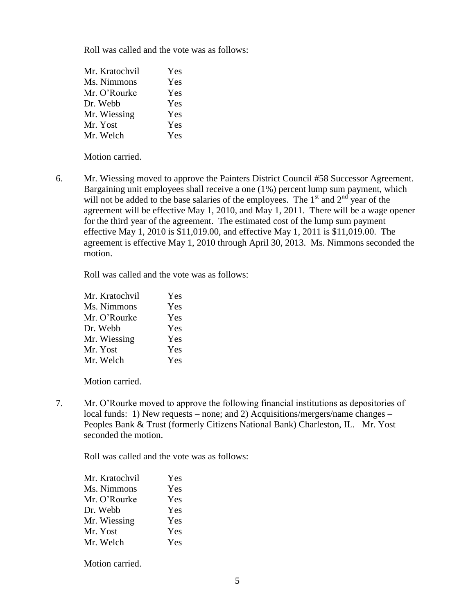Roll was called and the vote was as follows:

| Mr. Kratochvil | Yes |
|----------------|-----|
| Ms. Nimmons    | Yes |
| Mr. O'Rourke   | Yes |
| Dr. Webb       | Yes |
| Mr. Wiessing   | Yes |
| Mr. Yost       | Yes |
| Mr. Welch      | Yes |

Motion carried.

6. Mr. Wiessing moved to approve the Painters District Council #58 Successor Agreement. Bargaining unit employees shall receive a one (1%) percent lump sum payment, which will not be added to the base salaries of the employees. The  $1<sup>st</sup>$  and  $2<sup>nd</sup>$  year of the agreement will be effective May 1, 2010, and May 1, 2011. There will be a wage opener for the third year of the agreement. The estimated cost of the lump sum payment effective May 1, 2010 is \$11,019.00, and effective May 1, 2011 is \$11,019.00. The agreement is effective May 1, 2010 through April 30, 2013. Ms. Nimmons seconded the motion.

Roll was called and the vote was as follows:

| Mr. Kratochvil | Yes |
|----------------|-----|
| Ms. Nimmons    | Yes |
| Mr. O'Rourke   | Yes |
| Dr. Webb       | Yes |
| Mr. Wiessing   | Yes |
| Mr. Yost       | Yes |
| Mr. Welch      | Yes |

Motion carried.

7. Mr. O'Rourke moved to approve the following financial institutions as depositories of local funds: 1) New requests – none; and 2) Acquisitions/mergers/name changes – Peoples Bank & Trust (formerly Citizens National Bank) Charleston, IL. Mr. Yost seconded the motion.

Roll was called and the vote was as follows:

| Mr. Kratochvil | Yes |
|----------------|-----|
| Ms. Nimmons    | Yes |
| Mr. O'Rourke   | Yes |
| Dr. Webb       | Yes |
| Mr. Wiessing   | Yes |
| Mr. Yost       | Yes |
| Mr. Welch      | Yes |
|                |     |

Motion carried.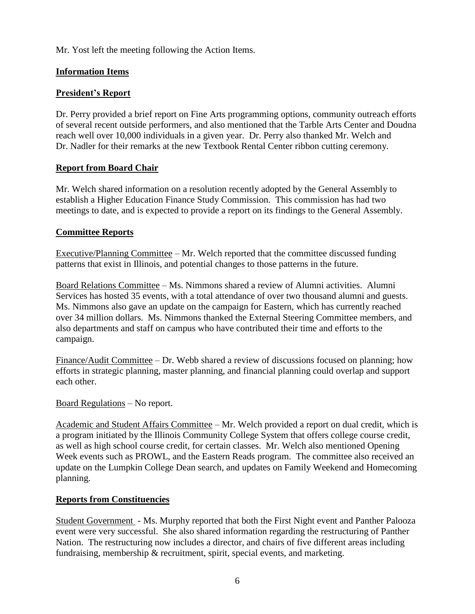Mr. Yost left the meeting following the Action Items.

# **Information Items**

# **President's Report**

Dr. Perry provided a brief report on Fine Arts programming options, community outreach efforts of several recent outside performers, and also mentioned that the Tarble Arts Center and Doudna reach well over 10,000 individuals in a given year. Dr. Perry also thanked Mr. Welch and Dr. Nadler for their remarks at the new Textbook Rental Center ribbon cutting ceremony.

## **Report from Board Chair**

Mr. Welch shared information on a resolution recently adopted by the General Assembly to establish a Higher Education Finance Study Commission. This commission has had two meetings to date, and is expected to provide a report on its findings to the General Assembly.

## **Committee Reports**

Executive/Planning Committee – Mr. Welch reported that the committee discussed funding patterns that exist in Illinois, and potential changes to those patterns in the future.

Board Relations Committee – Ms. Nimmons shared a review of Alumni activities. Alumni Services has hosted 35 events, with a total attendance of over two thousand alumni and guests. Ms. Nimmons also gave an update on the campaign for Eastern, which has currently reached over 34 million dollars. Ms. Nimmons thanked the External Steering Committee members, and also departments and staff on campus who have contributed their time and efforts to the campaign.

Finance/Audit Committee – Dr. Webb shared a review of discussions focused on planning; how efforts in strategic planning, master planning, and financial planning could overlap and support each other.

# Board Regulations – No report.

Academic and Student Affairs Committee – Mr. Welch provided a report on dual credit, which is a program initiated by the Illinois Community College System that offers college course credit, as well as high school course credit, for certain classes. Mr. Welch also mentioned Opening Week events such as PROWL, and the Eastern Reads program. The committee also received an update on the Lumpkin College Dean search, and updates on Family Weekend and Homecoming planning.

# **Reports from Constituencies**

Student Government - Ms. Murphy reported that both the First Night event and Panther Palooza event were very successful. She also shared information regarding the restructuring of Panther Nation. The restructuring now includes a director, and chairs of five different areas including fundraising, membership & recruitment, spirit, special events, and marketing.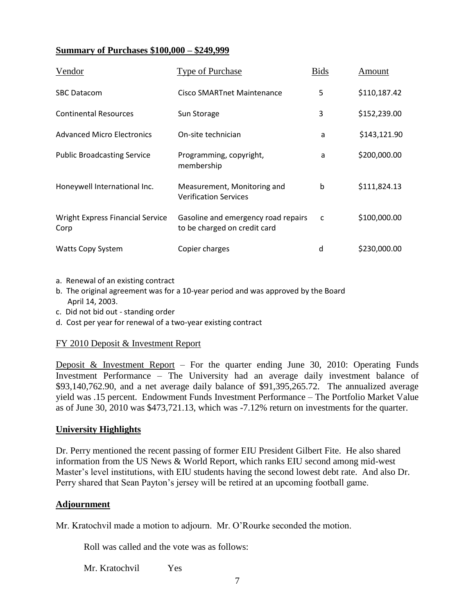## **Summary of Purchases \$100,000 – \$249,999**

| Vendor                                          | Type of Purchase                                                    | <b>Bids</b> | Amount       |
|-------------------------------------------------|---------------------------------------------------------------------|-------------|--------------|
| <b>SBC Datacom</b>                              | Cisco SMARTnet Maintenance                                          | 5           | \$110,187.42 |
| <b>Continental Resources</b>                    | Sun Storage                                                         | 3           | \$152,239.00 |
| <b>Advanced Micro Electronics</b>               | On-site technician                                                  | a           | \$143,121.90 |
| <b>Public Broadcasting Service</b>              | Programming, copyright,<br>membership                               | a           | \$200,000.00 |
| Honeywell International Inc.                    | Measurement, Monitoring and<br><b>Verification Services</b>         | $\mathbf b$ | \$111,824.13 |
| <b>Wright Express Financial Service</b><br>Corp | Gasoline and emergency road repairs<br>to be charged on credit card | C           | \$100,000.00 |
| <b>Watts Copy System</b>                        | Copier charges                                                      | d           | \$230,000.00 |

- a. Renewal of an existing contract
- b. The original agreement was for a 10-year period and was approved by the Board April 14, 2003.
- c. Did not bid out standing order
- d. Cost per year for renewal of a two-year existing contract

#### FY 2010 Deposit & Investment Report

Deposit & Investment Report – For the quarter ending June 30, 2010: Operating Funds Investment Performance – The University had an average daily investment balance of \$93,140,762.90, and a net average daily balance of \$91,395,265.72. The annualized average yield was .15 percent. Endowment Funds Investment Performance – The Portfolio Market Value as of June 30, 2010 was \$473,721.13, which was -7.12% return on investments for the quarter.

#### **University Highlights**

Dr. Perry mentioned the recent passing of former EIU President Gilbert Fite. He also shared information from the US News & World Report, which ranks EIU second among mid-west Master's level institutions, with EIU students having the second lowest debt rate. And also Dr. Perry shared that Sean Payton's jersey will be retired at an upcoming football game.

#### **Adjournment**

Mr. Kratochvil made a motion to adjourn. Mr. O'Rourke seconded the motion.

Roll was called and the vote was as follows:

Mr. Kratochvil Yes